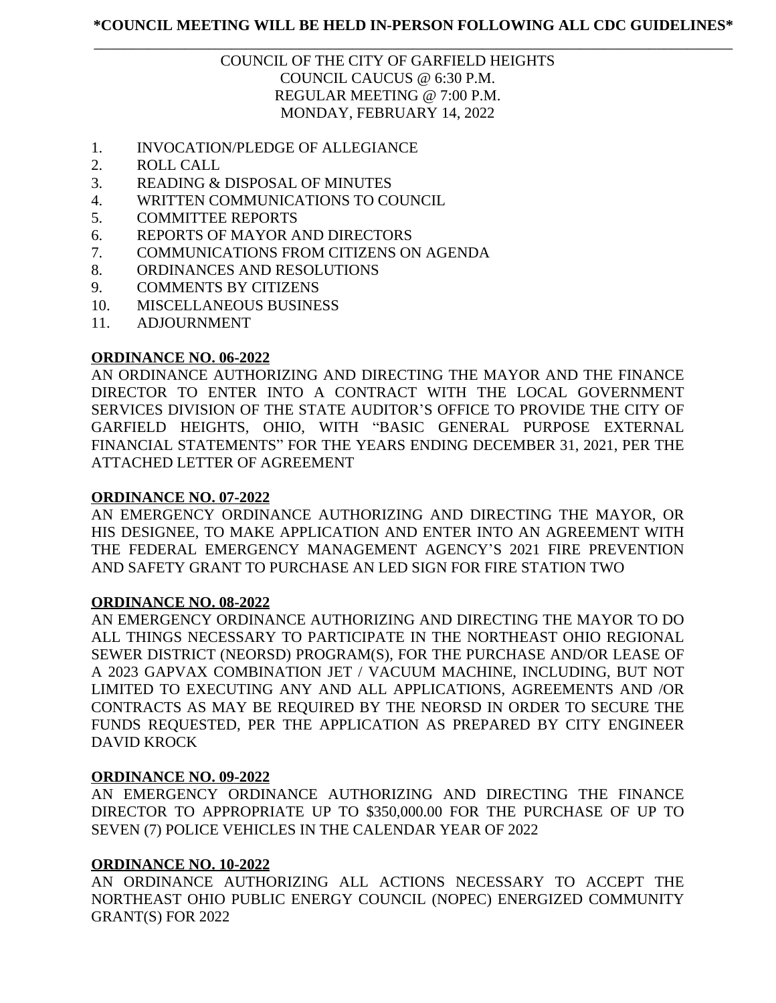# \_\_\_\_\_\_\_\_\_\_\_\_\_\_\_\_\_\_\_\_\_\_\_\_\_\_\_\_\_\_\_\_\_\_\_\_\_\_\_\_\_\_\_\_\_\_\_\_\_\_\_\_\_\_\_\_\_\_\_\_\_\_\_\_\_\_\_\_\_\_\_\_\_\_\_\_\_\_\_\_\_\_\_\_ COUNCIL OF THE CITY OF GARFIELD HEIGHTS COUNCIL CAUCUS @ 6:30 P.M. REGULAR MEETING @ 7:00 P.M. MONDAY, FEBRUARY 14, 2022

- 1. INVOCATION/PLEDGE OF ALLEGIANCE
- 2. ROLL CALL
- 3. READING & DISPOSAL OF MINUTES
- 4. WRITTEN COMMUNICATIONS TO COUNCIL
- 5. COMMITTEE REPORTS
- 6. REPORTS OF MAYOR AND DIRECTORS
- 7. COMMUNICATIONS FROM CITIZENS ON AGENDA
- 8. ORDINANCES AND RESOLUTIONS
- 9. COMMENTS BY CITIZENS
- 10. MISCELLANEOUS BUSINESS
- 11. ADJOURNMENT

# **ORDINANCE NO. 06-2022**

AN ORDINANCE AUTHORIZING AND DIRECTING THE MAYOR AND THE FINANCE DIRECTOR TO ENTER INTO A CONTRACT WITH THE LOCAL GOVERNMENT SERVICES DIVISION OF THE STATE AUDITOR'S OFFICE TO PROVIDE THE CITY OF GARFIELD HEIGHTS, OHIO, WITH "BASIC GENERAL PURPOSE EXTERNAL FINANCIAL STATEMENTS" FOR THE YEARS ENDING DECEMBER 31, 2021, PER THE ATTACHED LETTER OF AGREEMENT

# **ORDINANCE NO. 07-2022**

AN EMERGENCY ORDINANCE AUTHORIZING AND DIRECTING THE MAYOR, OR HIS DESIGNEE, TO MAKE APPLICATION AND ENTER INTO AN AGREEMENT WITH THE FEDERAL EMERGENCY MANAGEMENT AGENCY'S 2021 FIRE PREVENTION AND SAFETY GRANT TO PURCHASE AN LED SIGN FOR FIRE STATION TWO

# **ORDINANCE NO. 08-2022**

AN EMERGENCY ORDINANCE AUTHORIZING AND DIRECTING THE MAYOR TO DO ALL THINGS NECESSARY TO PARTICIPATE IN THE NORTHEAST OHIO REGIONAL SEWER DISTRICT (NEORSD) PROGRAM(S), FOR THE PURCHASE AND/OR LEASE OF A 2023 GAPVAX COMBINATION JET / VACUUM MACHINE, INCLUDING, BUT NOT LIMITED TO EXECUTING ANY AND ALL APPLICATIONS, AGREEMENTS AND /OR CONTRACTS AS MAY BE REQUIRED BY THE NEORSD IN ORDER TO SECURE THE FUNDS REQUESTED, PER THE APPLICATION AS PREPARED BY CITY ENGINEER DAVID KROCK

# **ORDINANCE NO. 09-2022**

AN EMERGENCY ORDINANCE AUTHORIZING AND DIRECTING THE FINANCE DIRECTOR TO APPROPRIATE UP TO \$350,000.00 FOR THE PURCHASE OF UP TO SEVEN (7) POLICE VEHICLES IN THE CALENDAR YEAR OF 2022

# **ORDINANCE NO. 10-2022**

AN ORDINANCE AUTHORIZING ALL ACTIONS NECESSARY TO ACCEPT THE NORTHEAST OHIO PUBLIC ENERGY COUNCIL (NOPEC) ENERGIZED COMMUNITY GRANT(S) FOR 2022